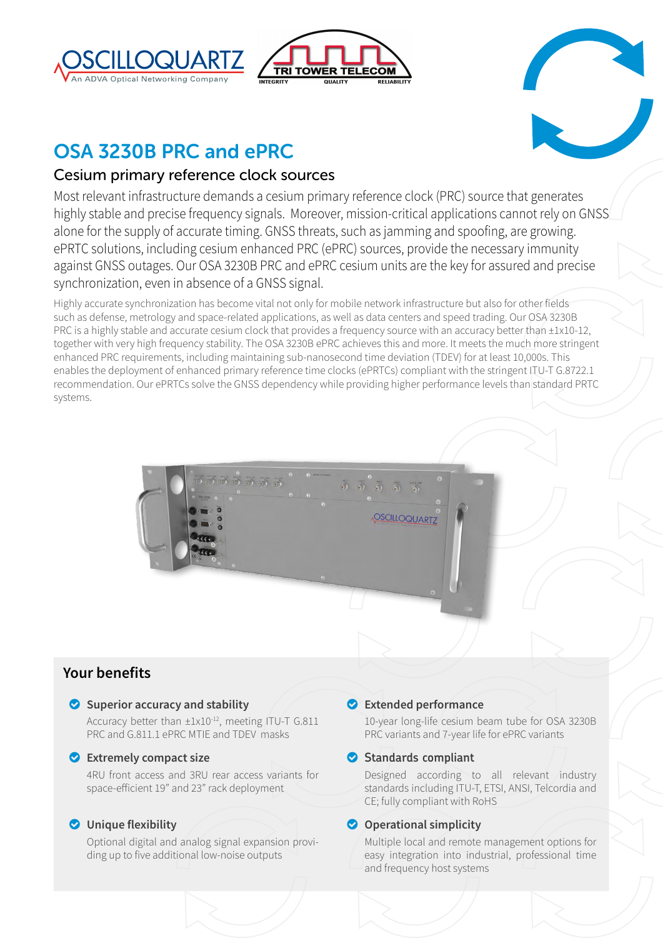





# OSA 3230B PRC and ePRC

## Cesium primary reference clock sources

Most relevant infrastructure demands a cesium primary reference clock (PRC) source that generates highly stable and precise frequency signals. Moreover, mission-critical applications cannot rely on GNSS alone for the supply of accurate timing. GNSS threats, such as jamming and spoofing, are growing. ePRTC solutions, including cesium enhanced PRC (ePRC) sources, provide the necessary immunity against GNSS outages. Our OSA 3230B PRC and ePRC cesium units are the key for assured and precise synchronization, even in absence of a GNSS signal.

Highly accurate synchronization has become vital not only for mobile network infrastructure but also for other fields such as defense, metrology and space-related applications, as well as data centers and speed trading. Our OSA 3230B PRC is a highly stable and accurate cesium clock that provides a frequency source with an accuracy better than  $\pm 1x10-12$ , together with very high frequency stability. The OSA 3230B ePRC achieves this and more. It meets the much more stringent enhanced PRC requirements, including maintaining sub-nanosecond time deviation (TDEV) for at least 10,000s. This enables the deployment of enhanced primary reference time clocks (ePRTCs) compliant with the stringent ITU-T G.8722.1 recommendation. Our ePRTCs solve the GNSS dependency while providing higher performance levels than standard PRTC systems.

## **Your benefits**

### o **Superior accuracy and stability**

Accuracy better than  $\pm 1 \times 10^{-12}$ , meeting ITU-T G.811 PRC and G.811.1 ePRC MTIE and TDEV masks

 $\overline{0}$  $\overline{0}$  $\overline{0}$  $\overline{0}$  $\overline{0}$ 

### o **Extremely compact size**

4RU front access and 3RU rear access variants for space-efficient 19" and 23" rack deployment

## o **Unique flexibility**

Optional digital and analog signal expansion providing up to five additional low-noise outputs

## o **Extended performance**

**OSCILLOQUARTZ** 

10-year long-life cesium beam tube for OSA 3230B PRC variants and 7-year life for ePRC variants

## **Standards compliant**

Designed according to all relevant industry standards including ITU-T, ETSI, ANSI, Telcordia and CE; fully compliant with RoHS

## $\bullet$  Operational simplicity

Multiple local and remote management options for easy integration into industrial, professional time and frequency host systems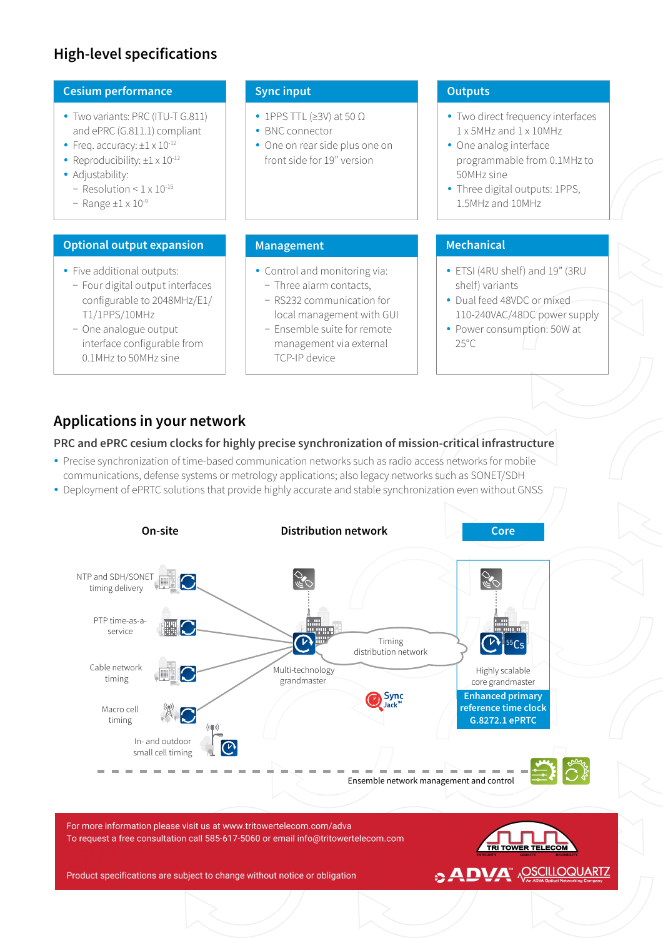## **High-level specifications**

### **Cesium performance**

- Two variants: PRC (ITU-T G.811) and ePRC (G.811.1) compliant
- Freq. accuracy:  $\pm 1 \times 10^{-12}$
- Reproducibility:  $\pm 1 \times 10^{-12}$
- Adjustability:
	- − Resolution < 1 x 10-15
	- − Range ±1 x 10-9

### **Optional output expansion**

- Five additional outputs:
	- − Four digital output interfaces configurable to 2048MHz/E1/ T1/1PPS/10MHz
	- − One analogue output interface configurable from 0.1MHz to 50MHz sine

### **Sync input**

- 1PPS TTL ( $\geq$ 3V) at 50  $\Omega$
- BNC connector
- One on rear side plus one on front side for 19" version

• Control and monitoring via: − Three alarm contacts, − RS232 communication for local management with GUI − Ensemble suite for remote management via external

### **Outputs**

- Two direct frequency interfaces 1 x 5MHz and 1 x 10MHz
- One analog interface programmable from 0.1MHz to 50MHz sine
- Three digital outputs: 1PPS, 1.5MHz and 10MHz

## **Management Management Mechanical**

- ETSI (4RU shelf) and 19" (3RU shelf) variants
- Dual feed 48VDC or mixed 110-240VAC/48DC power supply
- Power consumption: 50W at 25°C

## **Applications in your network**

### **PRC and ePRC cesium clocks for highly precise synchronization of mission-critical infrastructure**

TCP-IP device

- Precise synchronization of time-based communication networks such as radio access networks for mobile communications, defense systems or metrology applications; also legacy networks such as SONET/SDH
- Deployment of ePRTC solutions that provide highly accurate and stable synchronization even without GNSS

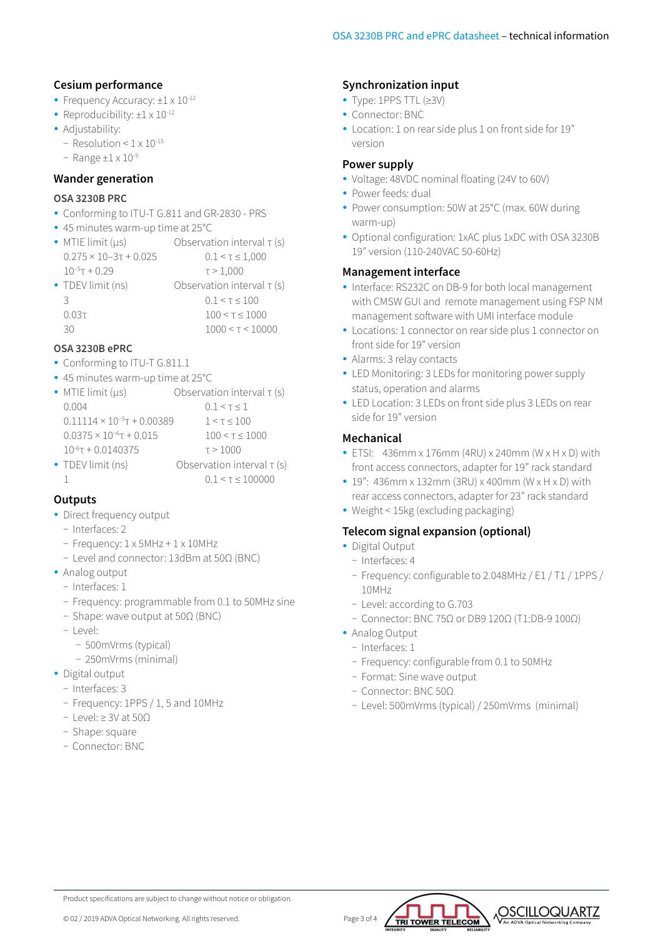### **Cesium performance**

- Frequency Accuracy:  $\pm 1 \times 10^{-12}$
- Reproducibility:  $\pm 1 \times 10^{-12}$
- Adjustability:
	- − Resolution < 1 x 10-15
	- − Range ±1 x 10-9

### **Wander generation**

#### **OSA 3230B PRC**

- y Conforming to ITU-T G.811 and GR-2830 PRS
- 45 minutes warm-up time at 25°C
- MTIE limit ( $\mu$ s) Observation interval τ (s)  $0.275 \times 10 - 3\tau + 0.025$   $0.1 < \tau \le 1,000$  $10^{-5}$ τ + 0.29 τ > 1,000 • TDEV limit (ns) Observation interval  $\tau$  (s) 3 0.1 <  $\tau$  < 100  $0.03\tau$   $100 \leq \tau \leq 1000$ 30 1000 < τ < 10000

### **OSA 3230B ePRC**

- Conforming to ITU-T G 811.1
- 45 minutes warm-up time at 25°C

| $\bullet$ MTIE limit ( $\mu s$ )     | Observation interval $\tau$ (s) |
|--------------------------------------|---------------------------------|
| 0.004                                | 0.1 < T < 1                     |
| $0.11114 \times 10^{-3}$ T + 0.00389 | $1 < \tau < 100$                |
| $0.0375 \times 10^{-6}$ T + 0.015    | 100 < t < 1000                  |
| $10^{-6}$ T + 0.0140375              | T > 1000                        |
| • TDEV limit (ns)                    | Observation interval $\tau$ (s) |
|                                      | 0.1 < t < 100000                |

### **Outputs**

- Direct frequency output
	- − Interfaces: 2
	- − Frequency: 1 x 5MHz + 1 x 10MHz
	- − Level and connector: 13dBm at 50Ω (BNC)
- Analog output
	- − Interfaces: 1
	- − Frequency: programmable from 0.1 to 50MHz sine
	- − Shape: wave output at 50Ω (BNC)
	- − Level:
		- − 500mVrms (typical)
		- − 250mVrms (minimal)
- Digital output
	- − Interfaces: 3
	- − Frequency: 1PPS / 1, 5 and 10MHz
	- − Level: ≥ 3V at 50Ω
	- − Shape: square
	- − Connector: BNC

### **Synchronization input**

- Type: 1PPS TTL (≥3V)
- Connector: BNC
- Location: 1 on rear side plus 1 on front side for 19" version

#### **Power supply**

- Voltage: 48VDC nominal floating (24V to 60V)
- Power feeds: dual
- Power consumption: 50W at 25°C (max. 60W during warm-up)
- Optional configuration: 1xAC plus 1xDC with OSA 3230B 19" version (110-240VAC 50-60Hz)

#### **Management interface**

- Interface: RS232C on DB-9 for both local management with CMSW GUI and remote management using FSP NM management software with UMI interface module
- Locations: 1 connector on rear side plus 1 connector on front side for 19" version
- Alarms: 3 relay contacts
- LED Monitoring: 3 LEDs for monitoring power supply status, operation and alarms
- LED Location: 3 LEDs on front side plus 3 LEDs on rear side for 19" version

### **Mechanical**

- $\bullet$  ETSI: 436mm x 176mm (4RU) x 240mm (W x H x D) with front access connectors, adapter for 19" rack standard
- $\cdot$  19": 436mm x 132mm (3RU) x 400mm (W x H x D) with rear access connectors, adapter for 23" rack standard
- Weight < 15kg (excluding packaging)

#### **Telecom signal expansion (optional)**

- Digital Output
- − Interfaces: 4
- − Frequency: configurable to 2.048MHz / E1 / T1 / 1PPS / 10MHz
- − Level: according to G.703
- − Connector: BNC 75Ω or DB9 120Ω (T1:DB-9 100Ω)
- Analog Output
	- − Interfaces: 1
	- − Frequency: configurable from 0.1 to 50MHz
	- − Format: Sine wave output
	- − Connector: BNC 50Ω
	- − Level: 500mVrms (typical) / 250mVrms (minimal)